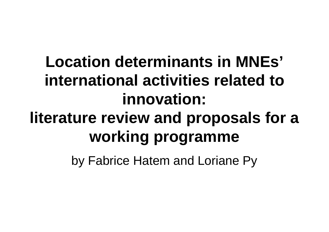## **Location determinants in MNEs'international activities related to innovation:literature review and proposals for a working programme**

by Fabrice Hatem and Loriane Py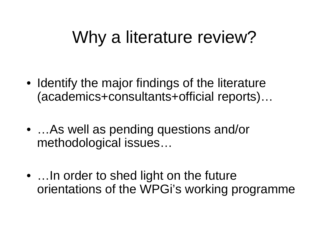## Why a literature review?

- Identify the major findings of the literature(academics+consultants+official reports)…
- …As well as pending questions and/or methodological issues…
- …In order to shed light on the future orientations of the WPGi's working programme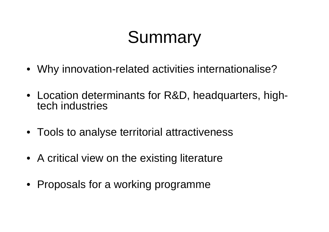# Summary

- Why innovation-related activities internationalise?
- Location determinants for R&D, headquarters, hightech industries
- Tools to analyse territorial attractiveness
- A critical view on the existing literature
- Proposals for a working programme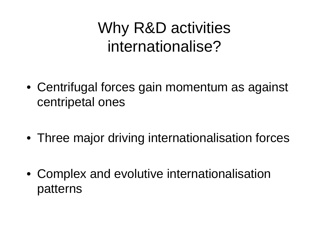## Why R&D activitiesinternationalise?

- Centrifugal forces gain momentum as against centripetal ones
- Three major driving internationalisation forces
- Complex and evolutive internationalisation patterns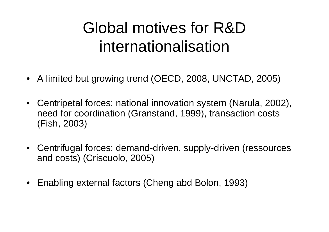## Global motives for R&D internationalisation

- A limited but growing trend (OECD, 2008, UNCTAD, 2005)
- • Centripetal forces: national innovation system (Narula, 2002), need for coordination (Granstand, 1999), transaction costs(Fish, 2003)
- $\bullet$  Centrifugal forces: demand-driven, supply-driven (ressources and costs) (Criscuolo, 2005)
- •Enabling external factors (Cheng abd Bolon, 1993)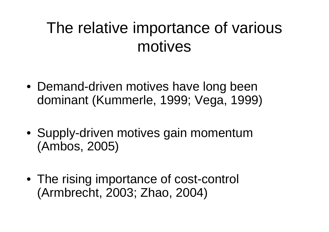### The relative importance of variousmotives

- Demand-driven motives have long been dominant (Kummerle, 1999; Vega, 1999)
- Supply-driven motives gain momentum(Ambos, 2005)
- The rising importance of cost-control (Armbrecht, 2003; Zhao, 2004)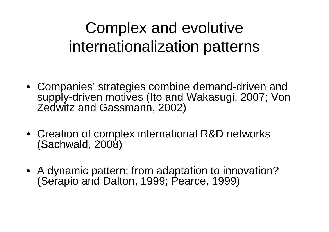## Complex and evolutiveinternationalization patterns

- Companies' strategies combine demand-driven and supply-driven motives (Ito and Wakasugi, 2007; Von Zedwitz and Gassmann, 2002)
- Creation of complex international R&D networks (Sachwald, 2008)
- A dynamic pattern: from adaptation to innovation? (Serapio and Dalton, 1999; Pearce, 1999)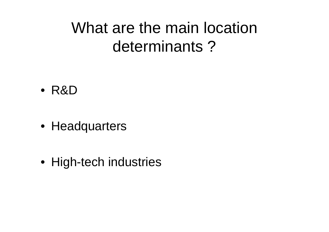### What are the main location determinants ?

- R&D
- Headquarters
- High-tech industries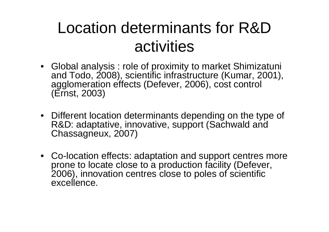### Location determinants for R&D activities

- Global analysis : role of proximity to market Shimizatuni and Todo, 2008), scientific infrastructure (Kumar, 2001), agglomeration effects (Defever, 2006), cost control (Ernst, 2003)
- Different location determinants depending on the type of R&D: adaptative, innovative, support (Sachwald and Chassagneux, 2007)
- Co-location effects: adaptation and support centres more prone to locate close to a production facility (Defever, 2006), innovation centres close to poles of scientificexcellence.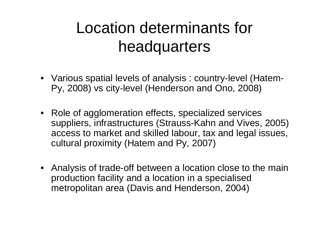### Location determinants for headquarters

- Various spatial levels of analysis : country-level (Hatem-Py, 2008) vs city-level (Henderson and Ono, 2008)
- Role of agglomeration effects, specialized services suppliers, infrastructures (Strauss-Kahn and Vives, 2005) access to market and skilled labour, tax and legal issues, cultural proximity (Hatem and Py, 2007)
- Analysis of trade-off between a location close to the main production facility and a location in a specialisedmetropolitan area (Davis and Henderson, 2004)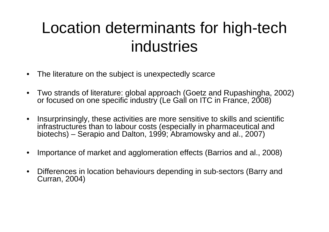### Location determinants for high-tech industries

- •The literature on the subject is unexpectedly scarce
- $\bullet$  Two strands of literature: global approach (Goetz and Rupashingha, 2002) or focused on one specific industry (Le Gall on ITC in France, 2008)
- • Insurprinsingly, these activities are more sensitive to skills and scientificinfrastructures than to labour costs (especially in pharmaceutical and biotechs) – Serapio and Dalton, 1999; Abramowsky and al., 2007)
- •Importance of market and agglomeration effects (Barrios and al., 2008)
- • Differences in location behaviours depending in sub-sectors (Barry and Curran, 2004)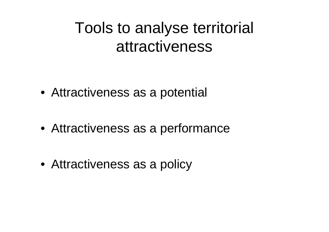### Tools to analyse territorial attractiveness

- Attractiveness as a potential
- Attractiveness as a performance
- Attractiveness as a policy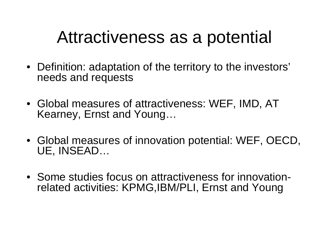## Attractiveness as a potential

- Definition: adaptation of the territory to the investors' needs and requests
- Global measures of attractiveness: WEF, IMD, AT Kearney, Ernst and Young…
- Global measures of innovation potential: WEF, OECD, UE, INSEAD…
- Some studies focus on attractiveness for innovationrelated activities: KPMG,IBM/PLI, Ernst and Young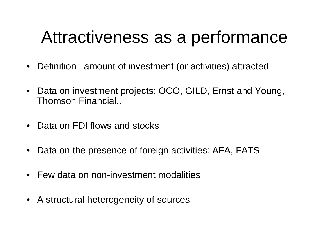## Attractiveness as a performance

- Definition : amount of investment (or activities) attracted
- • Data on investment projects: OCO, GILD, Ernst and Young, Thomson Financial..
- •Data on FDI flows and stocks
- •Data on the presence of foreign activities: AFA, FATS
- •Few data on non-investment modalities
- A structural heterogeneity of sources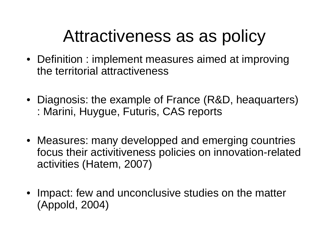## Attractiveness as as policy

- Definition : implement measures aimed at improvingthe territorial attractiveness
- Diagnosis: the example of France (R&D, heaquarters): Marini, Huygue, Futuris, CAS reports
- Measures: many developped and emerging countries focus their activitiveness policies on innovation-relatedactivities (Hatem, 2007)
- • Impact: few and unconclusive studies on the matter(Appold, 2004)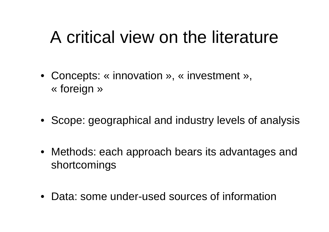### A critical view on the literature

- Concepts: « innovation », « investment », « foreign »
- Scope: geographical and industry levels of analysis
- Methods: each approach bears its advantages and shortcomings
- Data: some under-used sources of information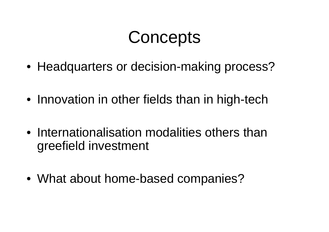## **Concepts**

- Headquarters or decision-making process?
- Innovation in other fields than in high-tech
- Internationalisation modalities others thangreefield investment
- What about home-based companies?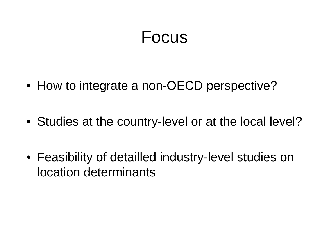#### Focus

- How to integrate a non-OECD perspective?
- Studies at the country-level or at the local level?
- Feasibility of detailled industry-level studies on location determinants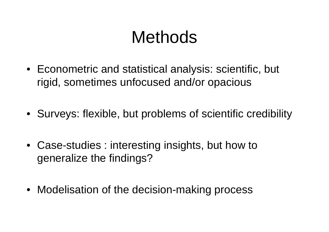## Methods

- Econometric and statistical analysis: scientific, but rigid, sometimes unfocused and/or opacious
- Surveys: flexible, but problems of scientific credibility
- Case-studies : interesting insights, but how to generalize the findings?
- Modelisation of the decision-making process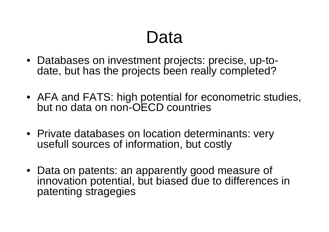## Data

- Databases on investment projects: precise, up-todate, but has the projects been really completed?
- AFA and FATS: high potential for econometric studies, but no data on non-OECD countries
- Private databases on location determinants: veryusefull sources of information, but costly
- Data on patents: an apparently good measure of innovation potential, but biased due to differences in patenting stragegies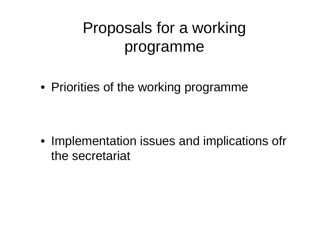## Proposals for a workingprogramme

• Priorities of the working programme

• Implementation issues and implications ofrthe secretariat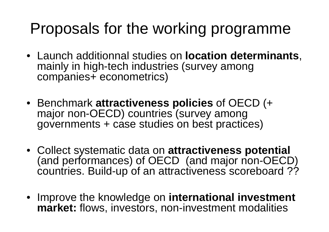### Proposals for the working programme

- Launch additionnal studies on **location determinants**, mainly in high-tech industries (survey amongcompanies+ econometrics)
- Benchmark **attractiveness policies** of OECD (+ major non-OECD) countries (survey amonggovernments + case studies on best practices)
- Collect systematic data on **attractiveness potential** (and performances) of OECD (and major non-OECD) countries. Build-up of an attractiveness scoreboard ??
- Improve the knowledge on **international investmentmarket:** flows, investors, non-investment modalities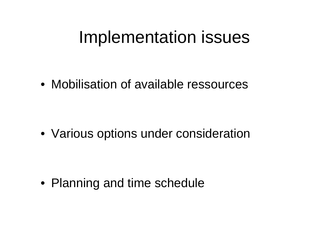### Implementation issues

• Mobilisation of available ressources

• Various options under consideration

• Planning and time schedule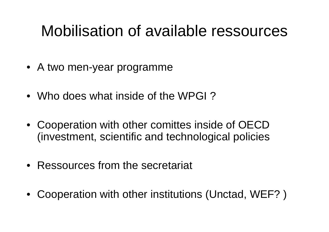### Mobilisation of available ressources

- A two men-year programme
- Who does what inside of the WPGI ?
- Cooperation with other comittes inside of OECD (investment, scientific and technological policies
- •Ressources from the secretariat
- •Cooperation with other institutions (Unctad, WEF? )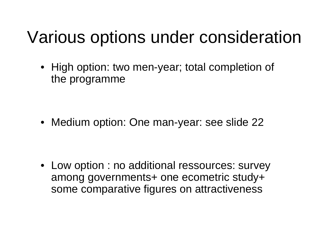## Various options under consideration

• High option: two men-year; total completion of the programme

• Medium option: One man-year: see slide <sup>22</sup>

• Low option : no additional ressources: survey among governments+ one ecometric study+ some comparative figures on attractiveness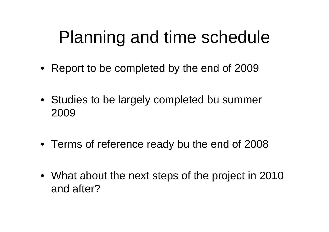## Planning and time schedule

- Report to be completed by the end of 2009
- Studies to be largely completed bu summer2009
- Terms of reference ready bu the end of 2008
- What about the next steps of the project in 2010 and after?